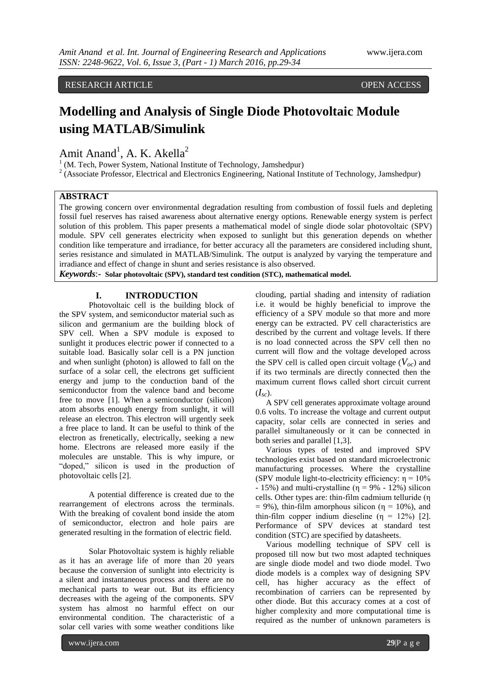# RESEARCH ARTICLE OPEN ACCESS

# **Modelling and Analysis of Single Diode Photovoltaic Module using MATLAB/Simulink**

Amit Anand<sup>1</sup>, A. K. Akella<sup>2</sup>

<sup>1</sup> (M. Tech, Power System, National Institute of Technology, Jamshedpur)

 $2$  (Associate Professor, Electrical and Electronics Engineering, National Institute of Technology, Jamshedpur)

# **ABSTRACT**

The growing concern over environmental degradation resulting from combustion of fossil fuels and depleting fossil fuel reserves has raised awareness about alternative energy options. Renewable energy system is perfect solution of this problem. This paper presents a mathematical model of single diode solar photovoltaic (SPV) module. SPV cell generates electricity when exposed to sunlight but this generation depends on whether condition like temperature and irradiance, for better accuracy all the parameters are considered including shunt, series resistance and simulated in MATLAB/Simulink. The output is analyzed by varying the temperature and irradiance and effect of change in shunt and series resistance is also observed.

*Keywords*:**- Solar photovoltaic (SPV), standard test condition (STC), mathematical model.**

## **I. INTRODUCTION**

Photovoltaic cell is the building block of the SPV system, and semiconductor material such as silicon and germanium are the building block of SPV cell. When a SPV module is exposed to sunlight it produces electric power if connected to a suitable load. Basically solar cell is a PN junction and when sunlight (photon) is allowed to fall on the surface of a solar cell, the electrons get sufficient energy and jump to the conduction band of the semiconductor from the valence band and become free to move [1]. When a semiconductor (silicon) atom absorbs enough energy from sunlight, it will release an electron. This electron will urgently seek a free place to land. It can be useful to think of the electron as frenetically, electrically, seeking a new home. Electrons are released more easily if the molecules are unstable. This is why impure, or "doped," silicon is used in the production of photovoltaic cells [2].

A potential difference is created due to the rearrangement of electrons across the terminals. With the breaking of covalent bond inside the atom of semiconductor, electron and hole pairs are generated resulting in the formation of electric field.

Solar Photovoltaic system is highly reliable as it has an average life of more than 20 years because the conversion of sunlight into electricity is a silent and instantaneous process and there are no mechanical parts to wear out. But its efficiency decreases with the ageing of the components. SPV system has almost no harmful effect on our environmental condition. The characteristic of a solar cell varies with some weather conditions like

clouding, partial shading and intensity of radiation i.e. it would be highly beneficial to improve the efficiency of a SPV module so that more and more energy can be extracted. PV cell characteristics are described by the current and voltage levels. If there is no load connected across the SPV cell then no current will flow and the voltage developed across the SPV cell is called open circuit voltage  $(V_{oc})$  and if its two terminals are directly connected then the maximum current flows called short circuit current  $(I_{sc})$ .

 A SPV cell generates approximate voltage around 0.6 volts. To increase the voltage and current output capacity, solar cells are connected in series and parallel simultaneously or it can be connected in both series and parallel [1,3].

 Various types of tested and improved SPV technologies exist based on standard microelectronic manufacturing processes. Where the crystalline (SPV module light-to-electricity efficiency:  $\eta = 10\%$ - 15%) and multi-crystalline ( $\eta = 9\%$  - 12%) silicon cells. Other types are: thin-film cadmium telluride (η  $= 9\%$ ), thin-film amorphous silicon ( $\eta = 10\%$ ), and thin-film copper indium dieseline  $(\eta = 12\%)$  [2]. Performance of SPV devices at standard test condition (STC) are specified by datasheets.

 Various modelling technique of SPV cell is proposed till now but two most adapted techniques are single diode model and two diode model. Two diode models is a complex way of designing SPV cell, has higher accuracy as the effect of recombination of carriers can be represented by other diode. But this accuracy comes at a cost of higher complexity and more computational time is required as the number of unknown parameters is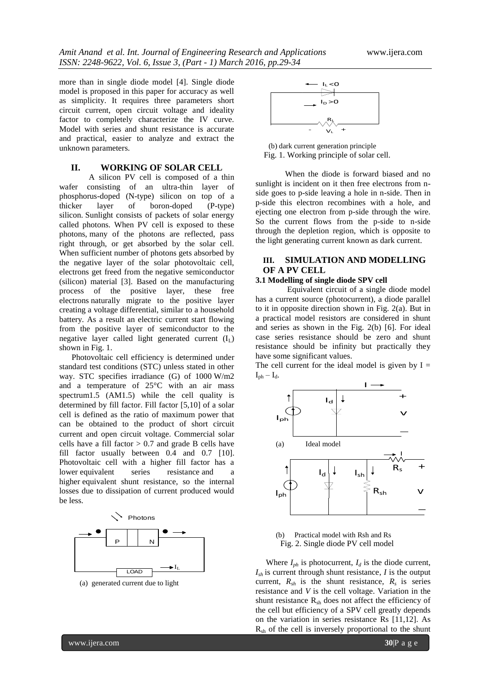more than in single diode model [4]. Single diode model is proposed in this paper for accuracy as well as simplicity. It requires three parameters short circuit current, open circuit voltage and ideality factor to completely characterize the IV curve. Model with series and shunt resistance is accurate and practical, easier to analyze and extract the unknown parameters.

## **II. WORKING OF SOLAR CELL**

A silicon PV cell is composed of a thin wafer consisting of an ultra-thin layer of phosphorus-doped (N-type) silicon on top of a<br>thicker layer of boron-doped (P-type) thicker layer of boron-doped silicon. Sunlight consists of packets of solar energy called photons. When PV cell is exposed to these photons, many of the photons are reflected, pass right through, or get absorbed by the solar cell. When sufficient number of photons gets absorbed by the negative layer of the solar photovoltaic cell, electrons get freed from the negative semiconductor (silicon) material [3]. Based on the manufacturing process of the positive layer, these free electrons naturally migrate to the positive layer creating a voltage differential, similar to a household battery. As a result an electric current start flowing from the positive layer of semiconductor to the negative layer called light generated current  $(I<sub>L</sub>)$ shown in Fig. 1.

 Photovoltaic cell efficiency is determined under standard test conditions (STC) unless stated in other way. STC specifies irradiance (G) of 1000 W/m2 and a temperature of 25°C with an air mass spectrum1.5 (AM1.5) while the cell quality is determined by fill factor. Fill factor [5,10] of a solar cell is defined as the ratio of maximum power that can be obtained to the product of short circuit current and open circuit voltage. Commercial solar cells have a fill factor  $> 0.7$  and grade B cells have fill factor usually between 0.4 and 0.7 [10]. Photovoltaic cell with a higher fill factor has a lower equivalent series resistance and a higher equivalent shunt resistance, so the internal losses due to dissipation of current produced would be less.



(a) generated current due to light



 (b) dark current generation principle Fig. 1. Working principle of solar cell.

When the diode is forward biased and no sunlight is incident on it then free electrons from nside goes to p-side leaving a hole in n-side. Then in p-side this electron recombines with a hole, and ejecting one electron from p-side through the wire. So the current flows from the p-side to n-side through the depletion region, which is opposite to the light generating current known as dark current.

# **III. SIMULATION AND MODELLING OF A PV CELL**

#### **3.1 Modelling of single diode SPV cell**

Equivalent circuit of a single diode model has a current source (photocurrent), a diode parallel to it in opposite direction shown in Fig. 2(a). But in a practical model resistors are considered in shunt and series as shown in the Fig. 2(b) [6]. For ideal case series resistance should be zero and shunt resistance should be infinity but practically they have some significant values.

The cell current for the ideal model is given by  $I =$  $I_{ph} - I_d$ .



(b) Practical model with Rsh and Rs Fig. 2. Single diode PV cell model

Where  $I_{ph}$  is photocurrent,  $I_d$  is the diode current,  $I_{sh}$  is current through shunt resistance, *I* is the output current,  $R_{sh}$  is the shunt resistance,  $R_s$  is series resistance and *V* is the cell voltage. Variation in the shunt resistance  $R_{sh}$  does not affect the efficiency of the cell but efficiency of a SPV cell greatly depends on the variation in series resistance Rs [11,12]. As  $R_{sh}$  of the cell is inversely proportional to the shunt

www.ijera.com **30**|P a g e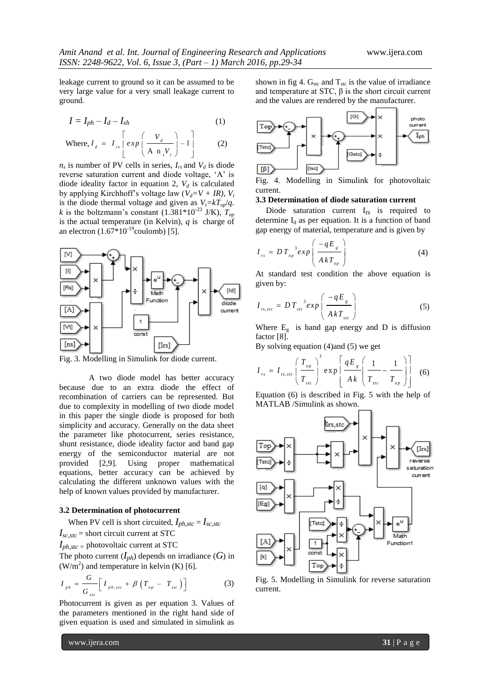leakage current to ground so it can be assumed to be very large value for a very small leakage current to ground.

$$
I = I_{ph} - I_d - I_{sh} \tag{1}
$$

Where, 
$$
I_d = I_{rs} \begin{bmatrix} \exp\left(\frac{V_d}{A n_s V_t}\right) - 1 \\ 0 \end{bmatrix}
$$
 (2)

 $n_s$  is number of PV cells in series,  $I_{rs}$  and  $V_d$  is diode reverse saturation current and diode voltage, "A" is diode ideality factor in equation 2,  $V_d$  is calculated by applying Kirchhoff's voltage law  $(V_d = V + IR)$ ,  $V_t$ is the diode thermal voltage and given as  $V_t = kT_{op}/q$ . *k* is the boltzmann's constant  $(1.381*10^{-23} \text{ J/K})$ ,  $T_{op}$ is the actual temperature (in Kelvin), *q* is charge of an electron  $(1.67*10^{-19}$ coulomb) [5].



Fig. 3. Modelling in Simulink for diode current.

A two diode model has better accuracy because due to an extra diode the effect of recombination of carriers can be represented. But due to complexity in modelling of two diode model in this paper the single diode is proposed for both simplicity and accuracy. Generally on the data sheet the parameter like photocurrent, series resistance, shunt resistance, diode ideality factor and band gap energy of the semiconductor material are not provided [2,9]. Using proper mathematical equations, better accuracy can be achieved by calculating the different unknown values with the help of known values provided by manufacturer.

#### **3.2 Determination of photocurrent**

When PV cell is short circuited,  $I_{ph,stc} = I_{sc,stc}$  $I_{sc,stc}$  = short circuit current at STC

 $I_{ph,stc}$  = photovoltaic current at STC

The photo current  $(I_{ph})$  depends on irradiance  $(G)$  in  $(W/m<sup>2</sup>)$  and temperature in kelvin (K) [6].

$$
I_{ph} = \frac{G}{G_{stc}} \left[ I_{ph, stc} + \beta \left( T_{op} - T_{stc} \right) \right]
$$
 (3)

Photocurrent is given as per equation 3. Values of the parameters mentioned in the right hand side of given equation is used and simulated in simulink as shown in fig 4.  $G_{\text{stc}}$  and  $T_{\text{stc}}$  is the value of irradiance and temperature at STC,  $\beta$  is the short circuit current and the values are rendered by the manufacturer.



Fig. 4. Modelling in Simulink for photovoltaic current.

#### **3.3 Determination of diode saturation current**

Diode saturation current I<sub>rs</sub> is required to determine  $I_d$  as per equation. It is a function of band gap energy of material, temperature and is given by

$$
I_{rs} = D T_{op}^{3} exp \left(\frac{-qE_{s}}{A k T_{op}}\right)
$$
 (4)

At standard test condition the above equation is given by:

$$
I_{rs, stc} = D T_{stc}^{3} exp \left( \frac{-qE_{s}}{A k T_{stc}} \right)
$$
 (5)

Where  $E<sub>g</sub>$  is band gap energy and D is diffusion factor [8].

By solving equation (4)and (5) we get

$$
I_{rs} = I_{rs, src} \left(\frac{T_{op}}{T_{stc}}\right)^3 \exp\left[\frac{qE_g}{Ak}\left(\frac{1}{T_{src}} - \frac{1}{T_{op}}\right)\right]
$$
 (6)

Equation (6) is described in Fig. 5 with the help of MATLAB /Simulink as shown.



Fig. 5. Modelling in Simulink for reverse saturation current.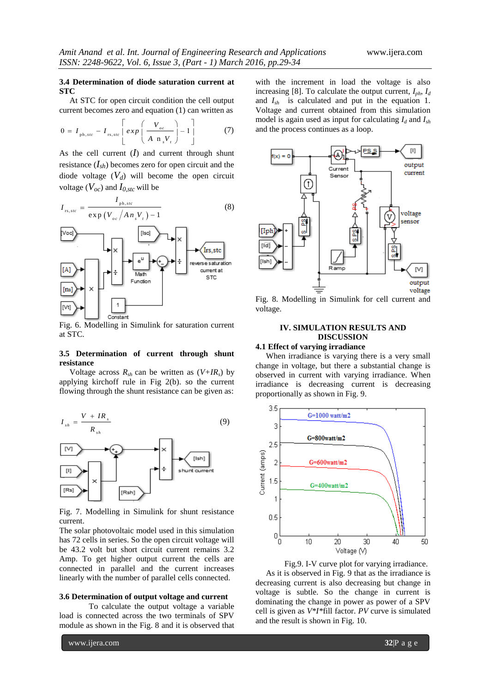## **3.4 Determination of diode saturation current at STC**

At STC for open circuit condition the cell output

current becomes zero and equation (1) can written as  
\n
$$
0 = I_{\text{ph}, \text{src}} - I_{\text{rs}, \text{src}} \left[ exp\left(\frac{V_{\text{oc}}}{A \text{ n}, V_{\text{r}}}\right) - 1\right]
$$
\n(7)

As the cell current  $(I)$  and current through shunt resistance  $(I_{sh})$  becomes zero for open circuit and the diode voltage  $(V_d)$  will become the open circuit voltage  $(V_{oc})$  and  $I_{0,stc}$  will be

$$
I_{rs,src} = \frac{I_{ph,src}}{\exp(V_{oc} / An_s V_t) - 1}
$$
 (8)



Fig. 6. Modelling in Simulink for saturation current at STC.

#### **3.5 Determination of current through shunt resistance**

Voltage across  $R_{sh}$  can be written as  $(V+IR_s)$  by applying kirchoff rule in Fig 2(b). so the current flowing through the shunt resistance can be given as:



Fig. 7. Modelling in Simulink for shunt resistance current.

The solar photovoltaic model used in this simulation has 72 cells in series. So the open circuit voltage will be 43.2 volt but short circuit current remains 3.2 Amp. To get higher output current the cells are connected in parallel and the current increases linearly with the number of parallel cells connected.

#### **3.6 Determination of output voltage and current**

To calculate the output voltage a variable load is connected across the two terminals of SPV module as shown in the Fig. 8 and it is observed that

www.ijera.com **32**|P a g e

with the increment in load the voltage is also increasing [8]. To calculate the output current, *Iph*, *I<sup>d</sup>* and *Ish* is calculated and put in the equation 1. Voltage and current obtained from this simulation model is again used as input for calculating  $I_d$  and  $I_{sh}$ and the process continues as a loop.



Fig. 8. Modelling in Simulink for cell current and voltage.

## **IV. SIMULATION RESULTS AND DISCUSSION**

## **4.1 Effect of varying irradiance**

 When irradiance is varying there is a very small change in voltage, but there a substantial change is observed in current with varying irradiance. When irradiance is decreasing current is decreasing proportionally as shown in Fig. 9.



 Fig.9. I-V curve plot for varying irradiance. As it is observed in Fig. 9 that as the irradiance is decreasing current is also decreasing but change in voltage is subtle. So the change in current is dominating the change in power as power of a SPV cell is given as *V\*I\**fill factor. *PV* curve is simulated and the result is shown in Fig. 10.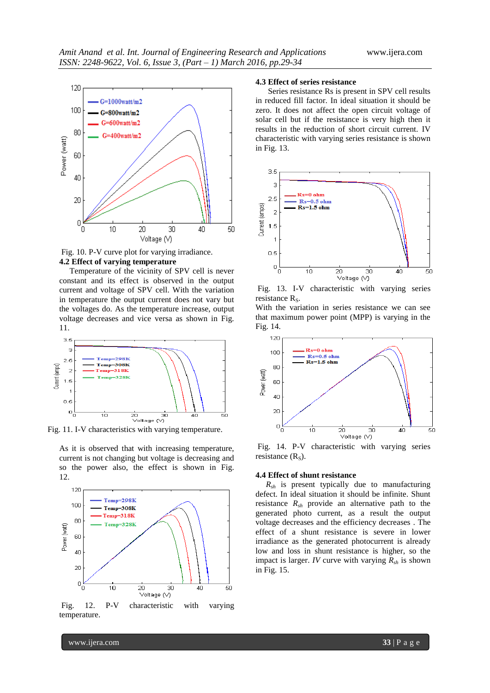

Fig. 10. P-V curve plot for varying irradiance. **4.2 Effect of varying temperature**

 Temperature of the vicinity of SPV cell is never constant and its effect is observed in the output current and voltage of SPV cell. With the variation in temperature the output current does not vary but the voltages do. As the temperature increase, output voltage decreases and vice versa as shown in Fig. 11.



Fig. 11. I-V characteristics with varying temperature.

As it is observed that with increasing temperature, current is not changing but voltage is decreasing and so the power also, the effect is shown in Fig. 12.



Fig. 12. P-V characteristic with varying temperature.

#### **4.3 Effect of series resistance**

 Series resistance Rs is present in SPV cell results in reduced fill factor. In ideal situation it should be zero. It does not affect the open circuit voltage of solar cell but if the resistance is very high then it results in the reduction of short circuit current. IV characteristic with varying series resistance is shown in Fig. 13.



Fig. 13. I-V characteristic with varying series resistance  $R<sub>S</sub>$ .

With the variation in series resistance we can see that maximum power point (MPP) is varying in the Fig. 14.



Fig. 14. P-V characteristic with varying series resistance  $(R<sub>S</sub>)$ .

#### **4.4 Effect of shunt resistance**

 $R_{sh}$  is present typically due to manufacturing defect. In ideal situation it should be infinite. Shunt resistance  $R_{sh}$  provide an alternative path to the generated photo current, as a result the output voltage decreases and the efficiency decreases . The effect of a shunt resistance is severe in lower irradiance as the generated photocurrent is already low and loss in shunt resistance is higher, so the impact is larger. *IV* curve with varying *Rsh* is shown in Fig. 15.